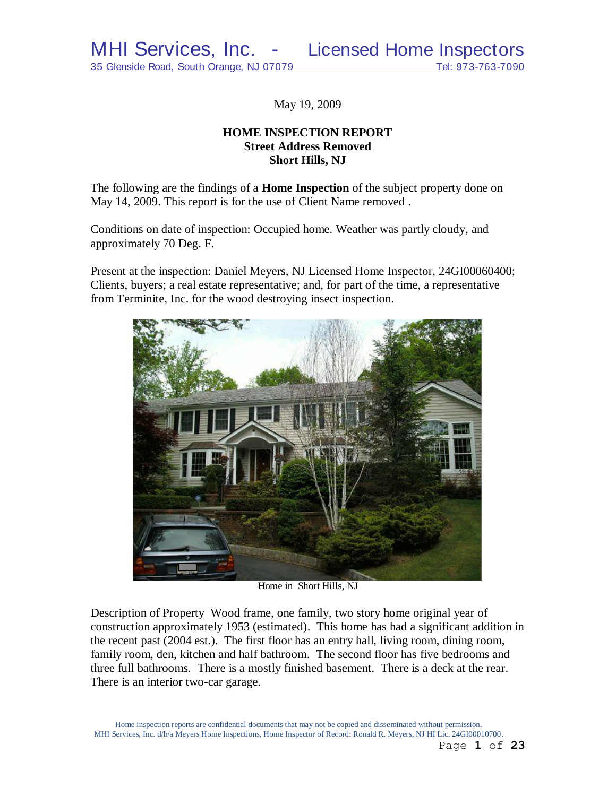May 19, 2009

# **HOME INSPECTION REPORT Street Address Removed Short Hills, NJ**

The following are the findings of a **Home Inspection** of the subject property done on May 14, 2009. This report is for the use of Client Name removed .

Conditions on date of inspection: Occupied home. Weather was partly cloudy, and approximately 70 Deg. F.

Present at the inspection: Daniel Meyers, NJ Licensed Home Inspector, 24GI00060400; Clients, buyers; a real estate representative; and, for part of the time, a representative from Terminite, Inc. for the wood destroying insect inspection.



Home in Short Hills, NJ

Description of Property Wood frame, one family, two story home original year of construction approximately 1953 (estimated). This home has had a significant addition in the recent past (2004 est.). The first floor has an entry hall, living room, dining room, family room, den, kitchen and half bathroom. The second floor has five bedrooms and three full bathrooms. There is a mostly finished basement. There is a deck at the rear. There is an interior two-car garage.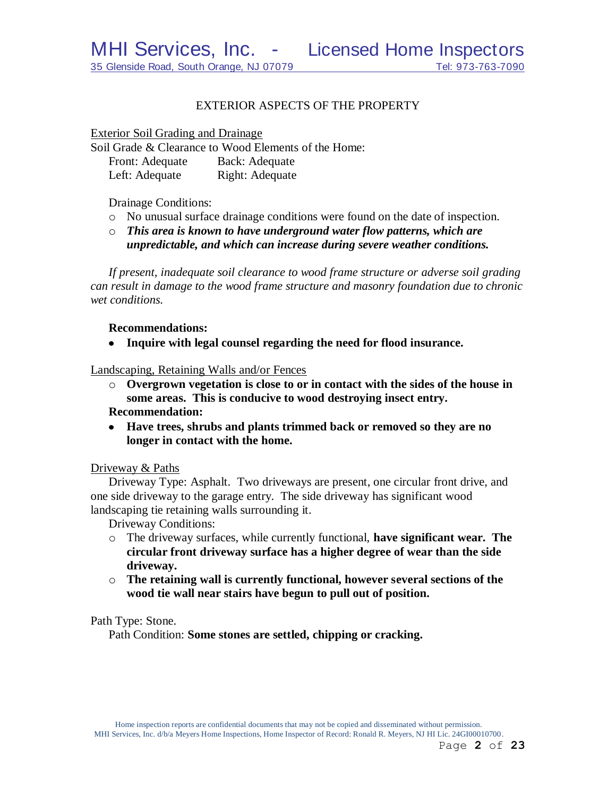# EXTERIOR ASPECTS OF THE PROPERTY

Exterior Soil Grading and Drainage

Soil Grade & Clearance to Wood Elements of the Home: Front: Adequate Back: Adequate Left: Adequate Right: Adequate

Drainage Conditions:

- o No unusual surface drainage conditions were found on the date of inspection.
- o *This area is known to have underground water flow patterns, which are unpredictable, and which can increase during severe weather conditions.*

*If present, inadequate soil clearance to wood frame structure or adverse soil grading can result in damage to the wood frame structure and masonry foundation due to chronic wet conditions.*

## **Recommendations:**

**Inquire with legal counsel regarding the need for flood insurance.**  $\bullet$ 

Landscaping, Retaining Walls and/or Fences

- o **Overgrown vegetation is close to or in contact with the sides of the house in some areas. This is conducive to wood destroying insect entry. Recommendation:**
- **Have trees, shrubs and plants trimmed back or removed so they are no longer in contact with the home.**

# Driveway & Paths

Driveway Type: Asphalt. Two driveways are present, one circular front drive, and one side driveway to the garage entry. The side driveway has significant wood landscaping tie retaining walls surrounding it.

Driveway Conditions:

- o The driveway surfaces, while currently functional, **have significant wear. The circular front driveway surface has a higher degree of wear than the side driveway.**
- o **The retaining wall is currently functional, however several sections of the wood tie wall near stairs have begun to pull out of position.**

Path Type: Stone.

Path Condition: **Some stones are settled, chipping or cracking.**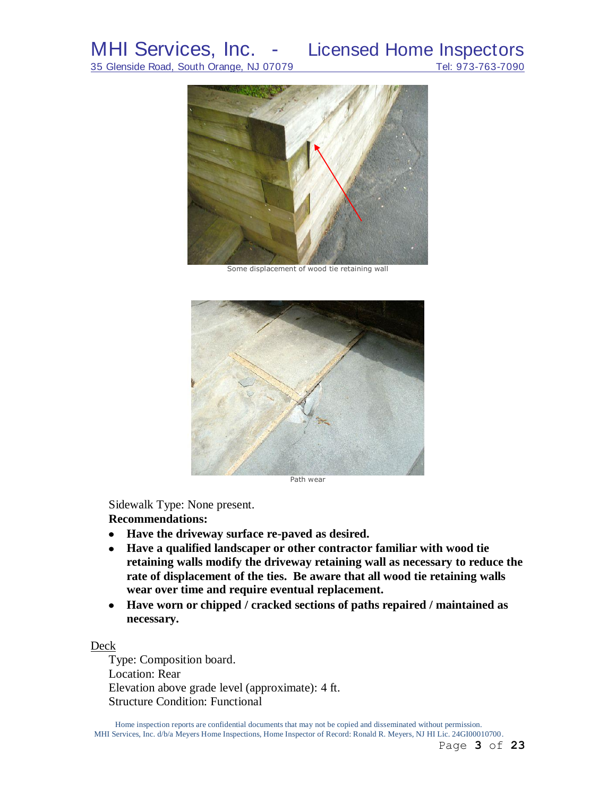

Some displacement of wood tie retaining wall



Path wear

Sidewalk Type: None present.

**Recommendations:**

- **Have the driveway surface re-paved as desired.**
- **Have a qualified landscaper or other contractor familiar with wood tie retaining walls modify the driveway retaining wall as necessary to reduce the rate of displacement of the ties. Be aware that all wood tie retaining walls wear over time and require eventual replacement.**
- **Have worn or chipped / cracked sections of paths repaired / maintained as necessary.**

### Deck

Type: Composition board. Location: Rear Elevation above grade level (approximate): 4 ft. Structure Condition: Functional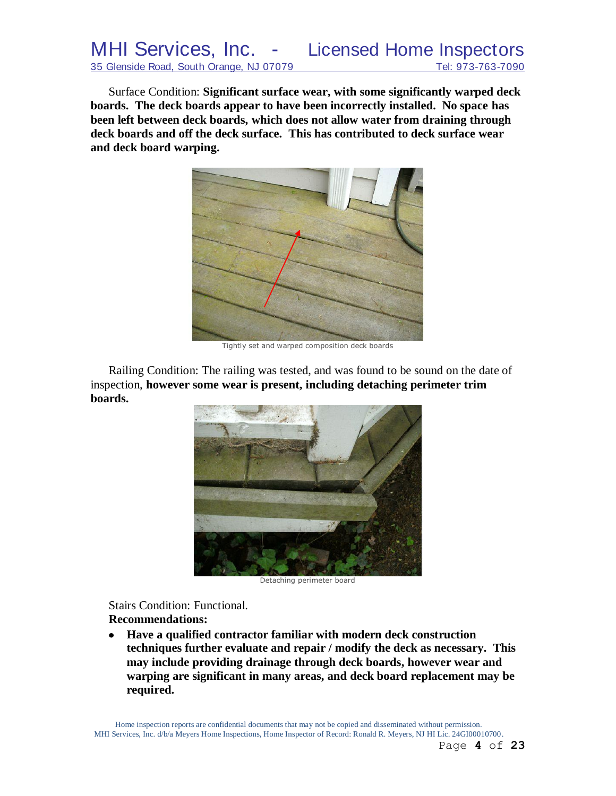Surface Condition: **Significant surface wear, with some significantly warped deck boards. The deck boards appear to have been incorrectly installed. No space has been left between deck boards, which does not allow water from draining through deck boards and off the deck surface. This has contributed to deck surface wear and deck board warping.**



Tightly set and warped composition deck boards

Railing Condition: The railing was tested, and was found to be sound on the date of inspection, **however some wear is present, including detaching perimeter trim boards.**



Detaching perimeter board

Stairs Condition: Functional. **Recommendations:**

 $\bullet$ **Have a qualified contractor familiar with modern deck construction techniques further evaluate and repair / modify the deck as necessary. This may include providing drainage through deck boards, however wear and warping are significant in many areas, and deck board replacement may be required.**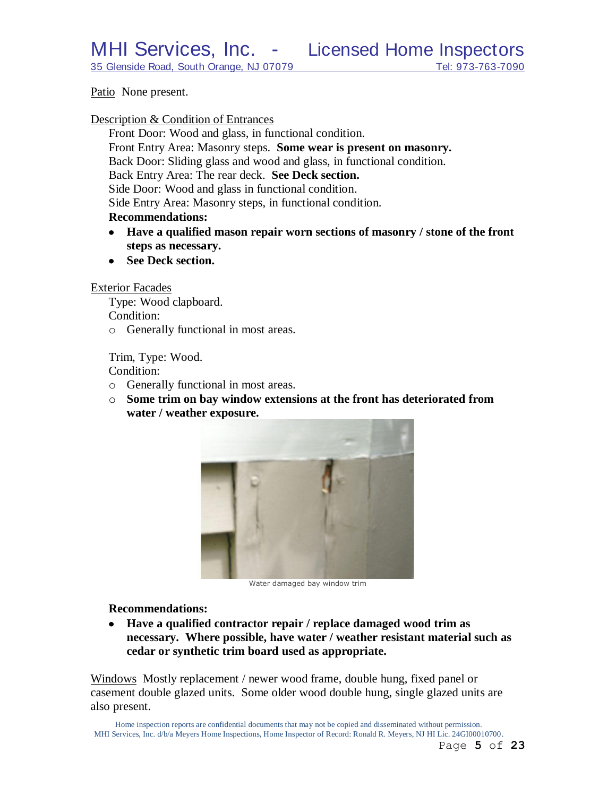Patio None present.

### Description & Condition of Entrances

Front Door: Wood and glass, in functional condition. Front Entry Area: Masonry steps. **Some wear is present on masonry.** Back Door: Sliding glass and wood and glass, in functional condition. Back Entry Area: The rear deck. **See Deck section.** Side Door: Wood and glass in functional condition. Side Entry Area: Masonry steps, in functional condition. **Recommendations:**

- **Have a qualified mason repair worn sections of masonry / stone of the front**   $\bullet$ **steps as necessary.**
- See Deck section.

#### Exterior Facades

Type: Wood clapboard. Condition: o Generally functional in most areas.

Trim, Type: Wood.

Condition:

- o Generally functional in most areas.
- o **Some trim on bay window extensions at the front has deteriorated from water / weather exposure.**



Water damaged bay window trim

**Recommendations:**

**Have a qualified contractor repair / replace damaged wood trim as**   $\bullet$ **necessary. Where possible, have water / weather resistant material such as cedar or synthetic trim board used as appropriate.**

Windows Mostly replacement / newer wood frame, double hung, fixed panel or casement double glazed units. Some older wood double hung, single glazed units are also present.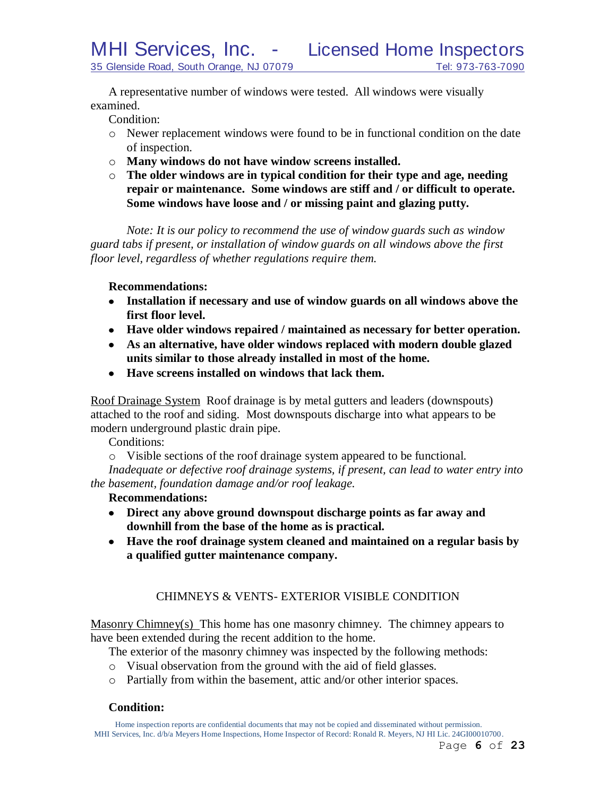A representative number of windows were tested. All windows were visually examined.

Condition:

- o Newer replacement windows were found to be in functional condition on the date of inspection.
- o **Many windows do not have window screens installed.**
- o **The older windows are in typical condition for their type and age, needing repair or maintenance. Some windows are stiff and / or difficult to operate. Some windows have loose and / or missing paint and glazing putty.**

*Note: It is our policy to recommend the use of window guards such as window guard tabs if present, or installation of window guards on all windows above the first floor level, regardless of whether regulations require them.*

# **Recommendations:**

- **Installation if necessary and use of window guards on all windows above the first floor level.**
- **Have older windows repaired / maintained as necessary for better operation.**
- **As an alternative, have older windows replaced with modern double glazed units similar to those already installed in most of the home.**
- **Have screens installed on windows that lack them.**

Roof Drainage System Roof drainage is by metal gutters and leaders (downspouts) attached to the roof and siding. Most downspouts discharge into what appears to be modern underground plastic drain pipe.

Conditions:

o Visible sections of the roof drainage system appeared to be functional.

*Inadequate or defective roof drainage systems, if present, can lead to water entry into the basement, foundation damage and/or roof leakage.*

# **Recommendations:**

- **Direct any above ground downspout discharge points as far away and downhill from the base of the home as is practical.**
- **Have the roof drainage system cleaned and maintained on a regular basis by a qualified gutter maintenance company.**

# CHIMNEYS & VENTS- EXTERIOR VISIBLE CONDITION

Masonry Chimney(s) This home has one masonry chimney. The chimney appears to have been extended during the recent addition to the home.

The exterior of the masonry chimney was inspected by the following methods:

- o Visual observation from the ground with the aid of field glasses.
- o Partially from within the basement, attic and/or other interior spaces.

# **Condition:**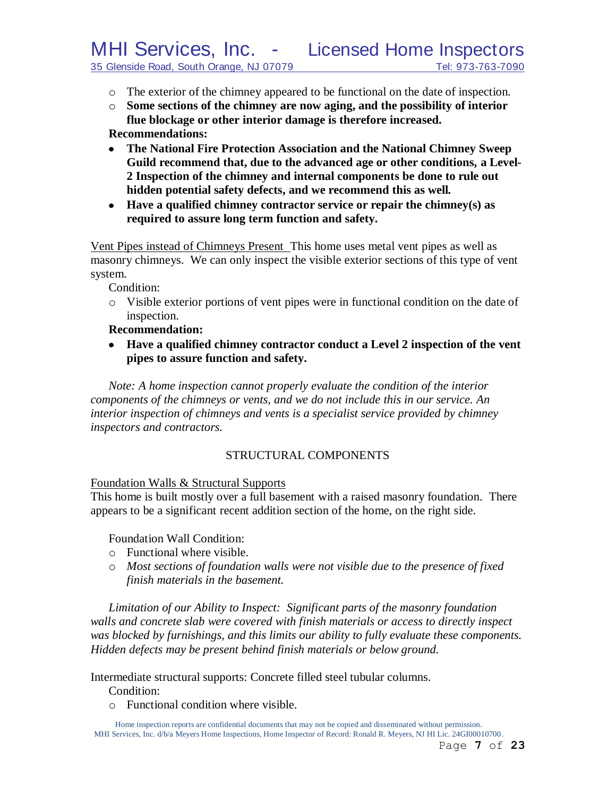- o The exterior of the chimney appeared to be functional on the date of inspection.
- o **Some sections of the chimney are now aging, and the possibility of interior flue blockage or other interior damage is therefore increased. Recommendations:**
- **The National Fire Protection Association and the National Chimney Sweep Guild recommend that, due to the advanced age or other conditions, a Level-2 Inspection of the chimney and internal components be done to rule out hidden potential safety defects, and we recommend this as well***.*
- **Have a qualified chimney contractor service or repair the chimney(s) as required to assure long term function and safety.**

Vent Pipes instead of Chimneys Present This home uses metal vent pipes as well as masonry chimneys. We can only inspect the visible exterior sections of this type of vent system.

Condition:

o Visible exterior portions of vent pipes were in functional condition on the date of inspection.

**Recommendation:**

**Have a qualified chimney contractor conduct a Level 2 inspection of the vent pipes to assure function and safety.**

*Note: A home inspection cannot properly evaluate the condition of the interior components of the chimneys or vents, and we do not include this in our service. An interior inspection of chimneys and vents is a specialist service provided by chimney inspectors and contractors.*

# STRUCTURAL COMPONENTS

Foundation Walls & Structural Supports

This home is built mostly over a full basement with a raised masonry foundation. There appears to be a significant recent addition section of the home, on the right side.

Foundation Wall Condition:

- o Functional where visible.
- o *Most sections of foundation walls were not visible due to the presence of fixed finish materials in the basement.*

*Limitation of our Ability to Inspect: Significant parts of the masonry foundation walls and concrete slab were covered with finish materials or access to directly inspect was blocked by furnishings, and this limits our ability to fully evaluate these components. Hidden defects may be present behind finish materials or below ground.*

Intermediate structural supports: Concrete filled steel tubular columns.

Condition:

o Functional condition where visible.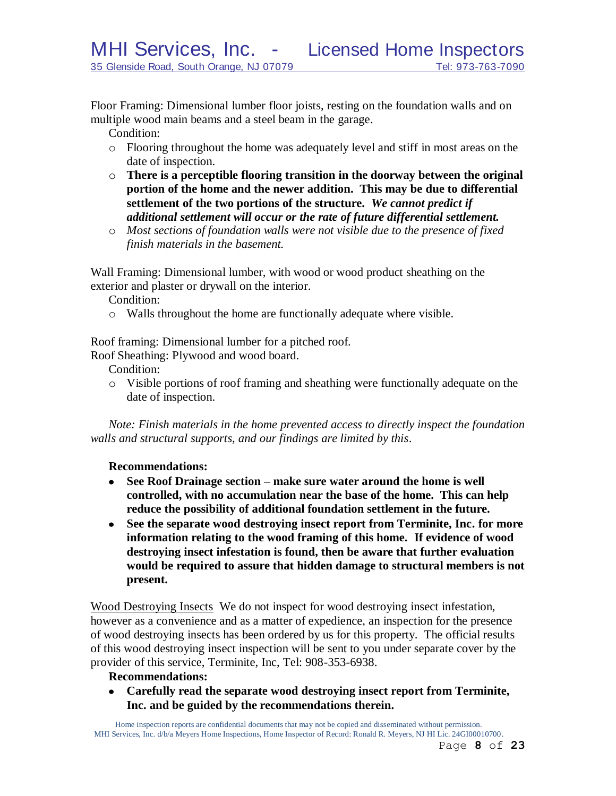Floor Framing: Dimensional lumber floor joists, resting on the foundation walls and on multiple wood main beams and a steel beam in the garage.

Condition:

- o Flooring throughout the home was adequately level and stiff in most areas on the date of inspection.
- o **There is a perceptible flooring transition in the doorway between the original portion of the home and the newer addition. This may be due to differential settlement of the two portions of the structure.** *We cannot predict if additional settlement will occur or the rate of future differential settlement.*
- o *Most sections of foundation walls were not visible due to the presence of fixed finish materials in the basement.*

Wall Framing: Dimensional lumber, with wood or wood product sheathing on the exterior and plaster or drywall on the interior.

Condition:

o Walls throughout the home are functionally adequate where visible.

Roof framing: Dimensional lumber for a pitched roof.

Roof Sheathing: Plywood and wood board.

Condition:

o Visible portions of roof framing and sheathing were functionally adequate on the date of inspection.

*Note: Finish materials in the home prevented access to directly inspect the foundation walls and structural supports, and our findings are limited by this*.

### **Recommendations:**

- **See Roof Drainage section – make sure water around the home is well controlled, with no accumulation near the base of the home. This can help reduce the possibility of additional foundation settlement in the future.**
- **See the separate wood destroying insect report from Terminite, Inc. for more information relating to the wood framing of this home. If evidence of wood destroying insect infestation is found, then be aware that further evaluation would be required to assure that hidden damage to structural members is not present.**

Wood Destroying Insects We do not inspect for wood destroying insect infestation, however as a convenience and as a matter of expedience, an inspection for the presence of wood destroying insects has been ordered by us for this property. The official results of this wood destroying insect inspection will be sent to you under separate cover by the provider of this service, Terminite, Inc, Tel: 908-353-6938.

# **Recommendations:**

**Carefully read the separate wood destroying insect report from Terminite, Inc. and be guided by the recommendations therein.**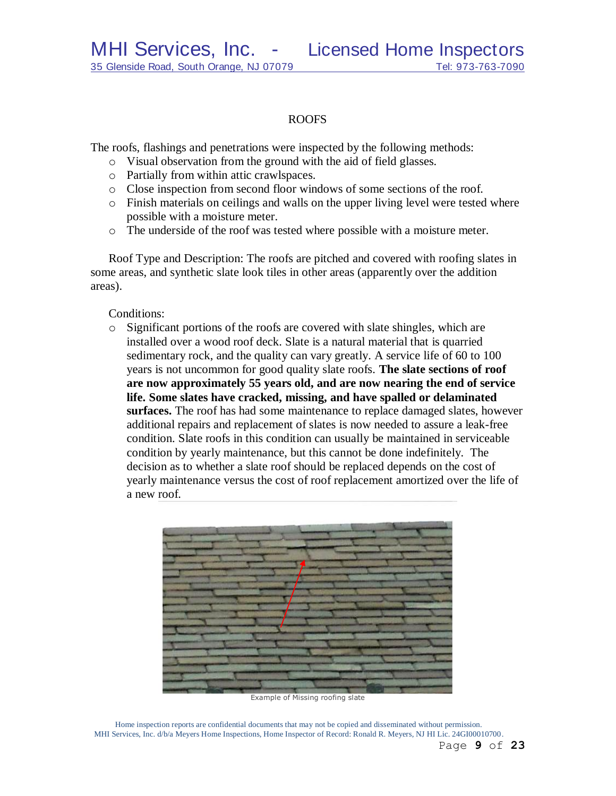## ROOFS

The roofs, flashings and penetrations were inspected by the following methods:

- o Visual observation from the ground with the aid of field glasses.
- o Partially from within attic crawlspaces.
- o Close inspection from second floor windows of some sections of the roof.
- o Finish materials on ceilings and walls on the upper living level were tested where possible with a moisture meter.
- o The underside of the roof was tested where possible with a moisture meter.

Roof Type and Description: The roofs are pitched and covered with roofing slates in some areas, and synthetic slate look tiles in other areas (apparently over the addition areas).

# Conditions:

o Significant portions of the roofs are covered with slate shingles, which are installed over a wood roof deck. Slate is a natural material that is quarried sedimentary rock, and the quality can vary greatly. A service life of 60 to 100 years is not uncommon for good quality slate roofs. **The slate sections of roof are now approximately 55 years old, and are now nearing the end of service life. Some slates have cracked, missing, and have spalled or delaminated surfaces.** The roof has had some maintenance to replace damaged slates, however additional repairs and replacement of slates is now needed to assure a leak-free condition. Slate roofs in this condition can usually be maintained in serviceable condition by yearly maintenance, but this cannot be done indefinitely. The decision as to whether a slate roof should be replaced depends on the cost of yearly maintenance versus the cost of roof replacement amortized over the life of a new roof.



Example of Missing roofing slate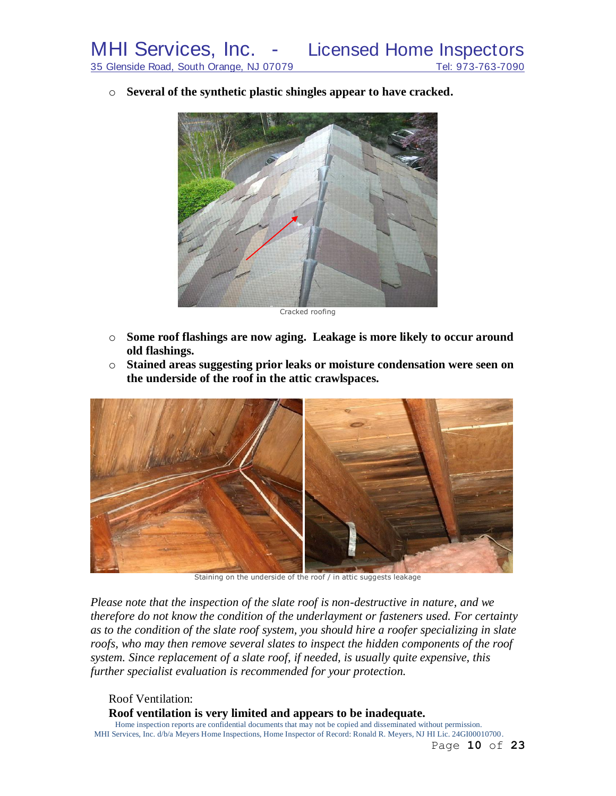o **Several of the synthetic plastic shingles appear to have cracked.**



Cracked roofing

- o **Some roof flashings are now aging. Leakage is more likely to occur around old flashings.**
- o **Stained areas suggesting prior leaks or moisture condensation were seen on the underside of the roof in the attic crawlspaces.**



Staining on the underside of the roof / in attic suggests leakage

*Please note that the inspection of the slate roof is non-destructive in nature, and we therefore do not know the condition of the underlayment or fasteners used. For certainty as to the condition of the slate roof system, you should hire a roofer specializing in slate roofs, who may then remove several slates to inspect the hidden components of the roof system. Since replacement of a slate roof, if needed, is usually quite expensive, this further specialist evaluation is recommended for your protection.*

Roof Ventilation:

**Roof ventilation is very limited and appears to be inadequate.**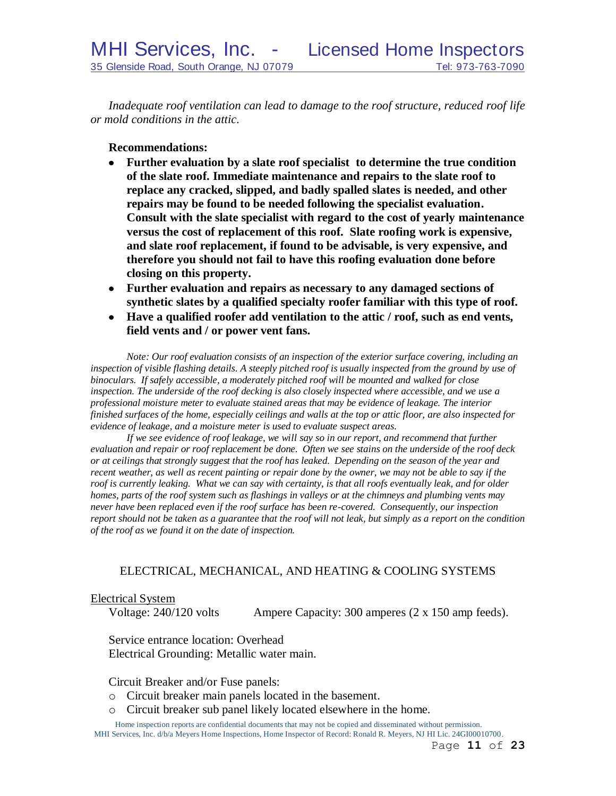*Inadequate roof ventilation can lead to damage to the roof structure, reduced roof life or mold conditions in the attic.*

**Recommendations:**

- $\bullet$ **Further evaluation by a slate roof specialist to determine the true condition of the slate roof. Immediate maintenance and repairs to the slate roof to replace any cracked, slipped, and badly spalled slates is needed, and other repairs may be found to be needed following the specialist evaluation. Consult with the slate specialist with regard to the cost of yearly maintenance versus the cost of replacement of this roof. Slate roofing work is expensive, and slate roof replacement, if found to be advisable, is very expensive, and therefore you should not fail to have this roofing evaluation done before closing on this property.**
- **Further evaluation and repairs as necessary to any damaged sections of synthetic slates by a qualified specialty roofer familiar with this type of roof.**
- **Have a qualified roofer add ventilation to the attic / roof, such as end vents, field vents and / or power vent fans.**

*Note: Our roof evaluation consists of an inspection of the exterior surface covering, including an*  inspection of visible flashing details. A steeply pitched roof is usually inspected from the ground by use of *binoculars. If safely accessible, a moderately pitched roof will be mounted and walked for close inspection. The underside of the roof decking is also closely inspected where accessible, and we use a professional moisture meter to evaluate stained areas that may be evidence of leakage. The interior finished surfaces of the home, especially ceilings and walls at the top or attic floor, are also inspected for evidence of leakage, and a moisture meter is used to evaluate suspect areas.*

*If we see evidence of roof leakage, we will say so in our report, and recommend that further evaluation and repair or roof replacement be done. Often we see stains on the underside of the roof deck or at ceilings that strongly suggest that the roof has leaked. Depending on the season of the year and recent weather, as well as recent painting or repair done by the owner, we may not be able to say if the roof is currently leaking. What we can say with certainty, is that all roofs eventually leak, and for older homes, parts of the roof system such as flashings in valleys or at the chimneys and plumbing vents may never have been replaced even if the roof surface has been re-covered. Consequently, our inspection report should not be taken as a guarantee that the roof will not leak, but simply as a report on the condition of the roof as we found it on the date of inspection.*

# ELECTRICAL, MECHANICAL, AND HEATING & COOLING SYSTEMS

### Electrical System

Voltage: 240/120 volts Ampere Capacity: 300 amperes (2 x 150 amp feeds).

Service entrance location: Overhead Electrical Grounding: Metallic water main.

Circuit Breaker and/or Fuse panels:

- o Circuit breaker main panels located in the basement.
- o Circuit breaker sub panel likely located elsewhere in the home.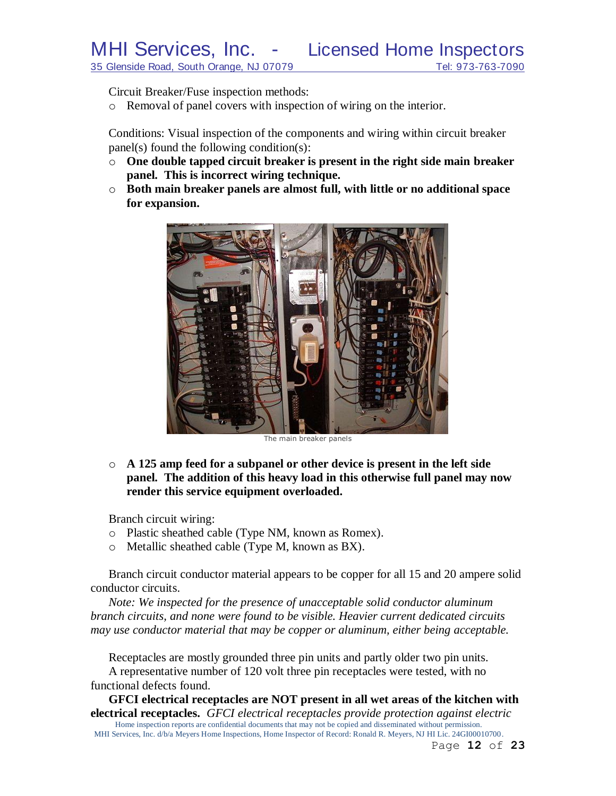Circuit Breaker/Fuse inspection methods:

o Removal of panel covers with inspection of wiring on the interior.

Conditions: Visual inspection of the components and wiring within circuit breaker panel(s) found the following condition(s):

- o **One double tapped circuit breaker is present in the right side main breaker panel. This is incorrect wiring technique.**
- o **Both main breaker panels are almost full, with little or no additional space for expansion.**



o **A 125 amp feed for a subpanel or other device is present in the left side panel. The addition of this heavy load in this otherwise full panel may now render this service equipment overloaded.**

Branch circuit wiring:

- o Plastic sheathed cable (Type NM, known as Romex).
- o Metallic sheathed cable (Type M, known as BX).

Branch circuit conductor material appears to be copper for all 15 and 20 ampere solid conductor circuits.

*Note: We inspected for the presence of unacceptable solid conductor aluminum branch circuits, and none were found to be visible. Heavier current dedicated circuits may use conductor material that may be copper or aluminum, either being acceptable.*

Receptacles are mostly grounded three pin units and partly older two pin units. A representative number of 120 volt three pin receptacles were tested, with no

functional defects found.

Home inspection reports are confidential documents that may not be copied and disseminated without permission. **GFCI electrical receptacles are NOT present in all wet areas of the kitchen with electrical receptacles.** *GFCI electrical receptacles provide protection against electric* 

MHI Services, Inc. d/b/a Meyers Home Inspections, Home Inspector of Record: Ronald R. Meyers, NJ HI Lic. 24GI00010700.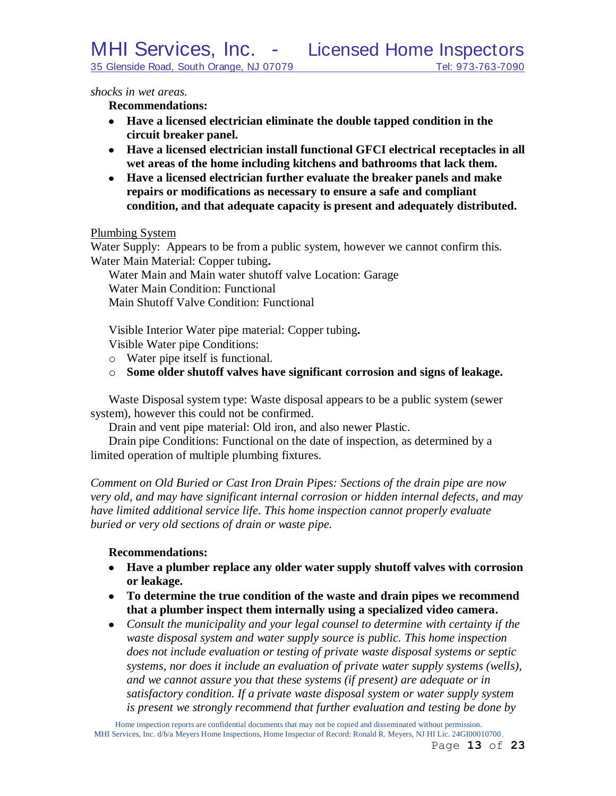*shocks in wet areas.*

**Recommendations:**

- **Have a licensed electrician eliminate the double tapped condition in the circuit breaker panel.**
- **Have a licensed electrician install functional GFCI electrical receptacles in all wet areas of the home including kitchens and bathrooms that lack them.**
- **Have a licensed electrician further evaluate the breaker panels and make repairs or modifications as necessary to ensure a safe and compliant condition, and that adequate capacity is present and adequately distributed.**

Plumbing System

Water Supply: Appears to be from a public system, however we cannot confirm this. Water Main Material: Copper tubing**.**

Water Main and Main water shutoff valve Location: Garage Water Main Condition: Functional Main Shutoff Valve Condition: Functional

Visible Interior Water pipe material: Copper tubing**.**

Visible Water pipe Conditions:

- o Water pipe itself is functional.
- o **Some older shutoff valves have significant corrosion and signs of leakage.**

Waste Disposal system type: Waste disposal appears to be a public system (sewer system), however this could not be confirmed.

Drain and vent pipe material: Old iron, and also newer Plastic.

Drain pipe Conditions: Functional on the date of inspection, as determined by a limited operation of multiple plumbing fixtures.

*Comment on Old Buried or Cast Iron Drain Pipes: Sections of the drain pipe are now very old, and may have significant internal corrosion or hidden internal defects, and may have limited additional service life. This home inspection cannot properly evaluate buried or very old sections of drain or waste pipe.*

# **Recommendations:**

- **Have a plumber replace any older water supply shutoff valves with corrosion or leakage.**
- **To determine the true condition of the waste and drain pipes we recommend that a plumber inspect them internally using a specialized video camera.**
- *Consult the municipality and your legal counsel to determine with certainty if the waste disposal system and water supply source is public. This home inspection does not include evaluation or testing of private waste disposal systems or septic systems, nor does it include an evaluation of private water supply systems (wells), and we cannot assure you that these systems (if present) are adequate or in satisfactory condition. If a private waste disposal system or water supply system is present we strongly recommend that further evaluation and testing be done by*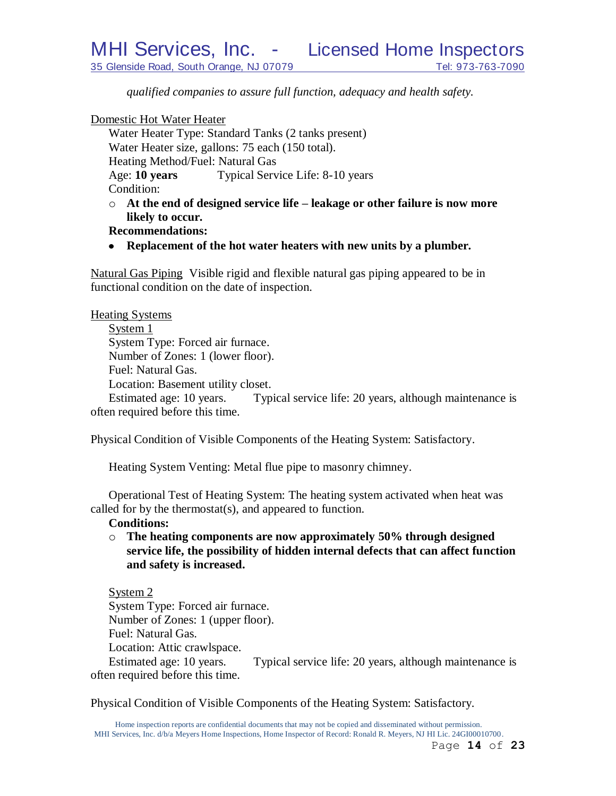*qualified companies to assure full function, adequacy and health safety.* 

Domestic Hot Water Heater

Water Heater Type: Standard Tanks (2 tanks present) Water Heater size, gallons: 75 each (150 total). Heating Method/Fuel: Natural Gas Age: **10 years** Typical Service Life: 8-10 years Condition: o **At the end of designed service life – leakage or other failure is now more** 

**likely to occur.**

# **Recommendations:**

**Replacement of the hot water heaters with new units by a plumber.**

Natural Gas Piping Visible rigid and flexible natural gas piping appeared to be in functional condition on the date of inspection.

| <b>Heating Systems</b>             |                                                         |
|------------------------------------|---------------------------------------------------------|
| System 1                           |                                                         |
| System Type: Forced air furnace.   |                                                         |
| Number of Zones: 1 (lower floor).  |                                                         |
| Fuel: Natural Gas.                 |                                                         |
| Location: Basement utility closet. |                                                         |
| Estimated age: 10 years.           | Typical service life: 20 years, although maintenance is |
| often required before this time.   |                                                         |

Physical Condition of Visible Components of the Heating System: Satisfactory.

Heating System Venting: Metal flue pipe to masonry chimney.

Operational Test of Heating System: The heating system activated when heat was called for by the thermostat(s), and appeared to function.

### **Conditions:**

o **The heating components are now approximately 50% through designed service life, the possibility of hidden internal defects that can affect function and safety is increased.**

System 2 System Type: Forced air furnace. Number of Zones: 1 (upper floor). Fuel: Natural Gas. Location: Attic crawlspace. Estimated age: 10 years. Typical service life: 20 years, although maintenance is often required before this time.

Physical Condition of Visible Components of the Heating System: Satisfactory.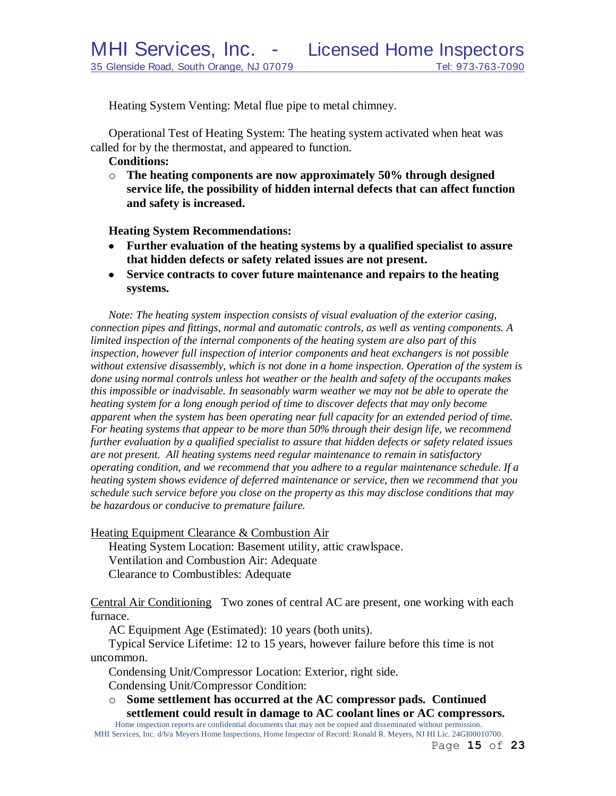Heating System Venting: Metal flue pipe to metal chimney.

Operational Test of Heating System: The heating system activated when heat was called for by the thermostat, and appeared to function.

## **Conditions:**

o **The heating components are now approximately 50% through designed service life, the possibility of hidden internal defects that can affect function and safety is increased.**

**Heating System Recommendations:**

- **Further evaluation of the heating systems by a qualified specialist to assure that hidden defects or safety related issues are not present.**
- **Service contracts to cover future maintenance and repairs to the heating**   $\bullet$ **systems.**

*Note: The heating system inspection consists of visual evaluation of the exterior casing, connection pipes and fittings, normal and automatic controls, as well as venting components. A limited inspection of the internal components of the heating system are also part of this inspection, however full inspection of interior components and heat exchangers is not possible without extensive disassembly, which is not done in a home inspection. Operation of the system is done using normal controls unless hot weather or the health and safety of the occupants makes this impossible or inadvisable. In seasonably warm weather we may not be able to operate the heating system for a long enough period of time to discover defects that may only become apparent when the system has been operating near full capacity for an extended period of time. For heating systems that appear to be more than 50% through their design life, we recommend further evaluation by a qualified specialist to assure that hidden defects or safety related issues are not present. All heating systems need regular maintenance to remain in satisfactory operating condition, and we recommend that you adhere to a regular maintenance schedule. If a heating system shows evidence of deferred maintenance or service, then we recommend that you schedule such service before you close on the property as this may disclose conditions that may be hazardous or conducive to premature failure.*

Heating Equipment Clearance & Combustion Air

Heating System Location: Basement utility, attic crawlspace. Ventilation and Combustion Air: Adequate Clearance to Combustibles: Adequate

Central Air Conditioning Two zones of central AC are present, one working with each furnace.

AC Equipment Age (Estimated): 10 years (both units).

Typical Service Lifetime: 12 to 15 years, however failure before this time is not uncommon.

Condensing Unit/Compressor Location: Exterior, right side.

Condensing Unit/Compressor Condition:

o **Some settlement has occurred at the AC compressor pads. Continued settlement could result in damage to AC coolant lines or AC compressors.**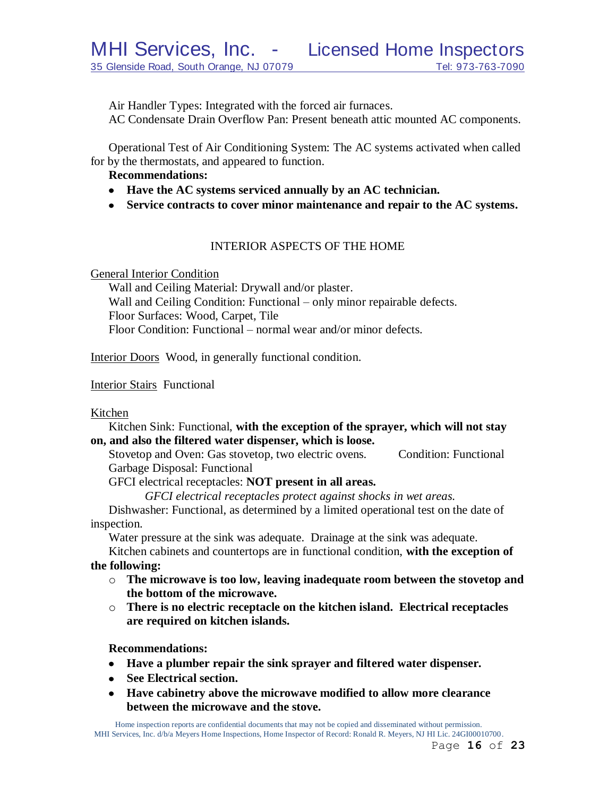Air Handler Types: Integrated with the forced air furnaces.

AC Condensate Drain Overflow Pan: Present beneath attic mounted AC components.

Operational Test of Air Conditioning System: The AC systems activated when called for by the thermostats, and appeared to function.

# **Recommendations:**

- **Have the AC systems serviced annually by an AC technician.**
- **Service contracts to cover minor maintenance and repair to the AC systems.**

# INTERIOR ASPECTS OF THE HOME

General Interior Condition

Wall and Ceiling Material: Drywall and/or plaster. Wall and Ceiling Condition: Functional – only minor repairable defects. Floor Surfaces: Wood, Carpet, Tile Floor Condition: Functional – normal wear and/or minor defects.

Interior Doors Wood, in generally functional condition.

Interior Stairs Functional

Kitchen

Kitchen Sink: Functional, **with the exception of the sprayer, which will not stay on, and also the filtered water dispenser, which is loose.**

Stovetop and Oven: Gas stovetop, two electric ovens. Condition: Functional Garbage Disposal: Functional

GFCI electrical receptacles: **NOT present in all areas.**

*GFCI electrical receptacles protect against shocks in wet areas.*

Dishwasher: Functional, as determined by a limited operational test on the date of inspection.

Water pressure at the sink was adequate. Drainage at the sink was adequate.

Kitchen cabinets and countertops are in functional condition, **with the exception of the following:**

- o **The microwave is too low, leaving inadequate room between the stovetop and the bottom of the microwave.**
	- o **There is no electric receptacle on the kitchen island. Electrical receptacles are required on kitchen islands.**

**Recommendations:**

- **Have a plumber repair the sink sprayer and filtered water dispenser.**
- **See Electrical section.**
- **Have cabinetry above the microwave modified to allow more clearance between the microwave and the stove.**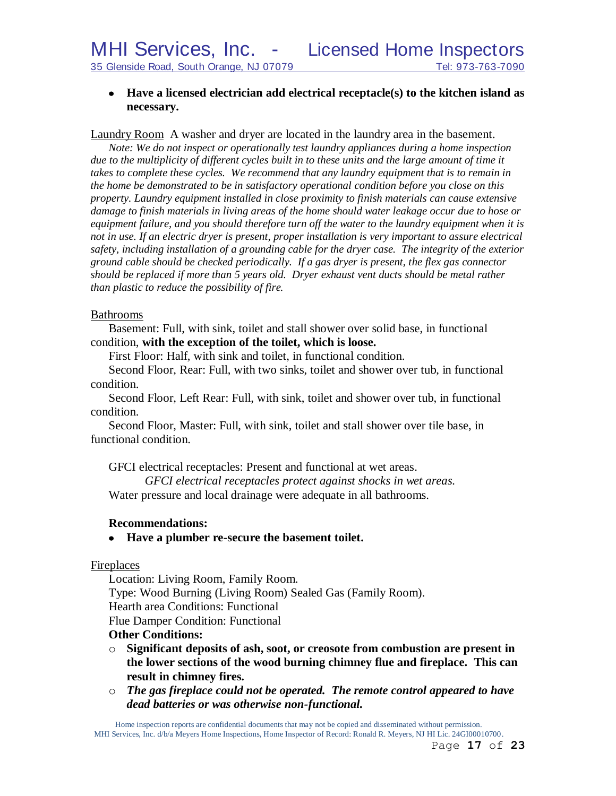# **Have a licensed electrician add electrical receptacle(s) to the kitchen island as necessary.**

Laundry Room A washer and dryer are located in the laundry area in the basement.

*Note: We do not inspect or operationally test laundry appliances during a home inspection*  due to the multiplicity of different cycles built in to these units and the large amount of time it *takes to complete these cycles. We recommend that any laundry equipment that is to remain in the home be demonstrated to be in satisfactory operational condition before you close on this property. Laundry equipment installed in close proximity to finish materials can cause extensive damage to finish materials in living areas of the home should water leakage occur due to hose or equipment failure, and you should therefore turn off the water to the laundry equipment when it is not in use. If an electric dryer is present, proper installation is very important to assure electrical safety, including installation of a grounding cable for the dryer case. The integrity of the exterior ground cable should be checked periodically. If a gas dryer is present, the flex gas connector should be replaced if more than 5 years old. Dryer exhaust vent ducts should be metal rather than plastic to reduce the possibility of fire.*

# Bathrooms

Basement: Full, with sink, toilet and stall shower over solid base, in functional condition, **with the exception of the toilet, which is loose.**

First Floor: Half, with sink and toilet, in functional condition.

Second Floor, Rear: Full, with two sinks, toilet and shower over tub, in functional condition.

Second Floor, Left Rear: Full, with sink, toilet and shower over tub, in functional condition.

Second Floor, Master: Full, with sink, toilet and stall shower over tile base, in functional condition.

GFCI electrical receptacles: Present and functional at wet areas.

*GFCI electrical receptacles protect against shocks in wet areas.* Water pressure and local drainage were adequate in all bathrooms.

# **Recommendations:**

# **Have a plumber re-secure the basement toilet.**

### **Fireplaces**

Location: Living Room, Family Room. Type: Wood Burning (Living Room) Sealed Gas (Family Room). Hearth area Conditions: Functional Flue Damper Condition: Functional

# **Other Conditions:**

- o **Significant deposits of ash, soot, or creosote from combustion are present in the lower sections of the wood burning chimney flue and fireplace. This can result in chimney fires.**
- o *The gas fireplace could not be operated. The remote control appeared to have dead batteries or was otherwise non-functional.*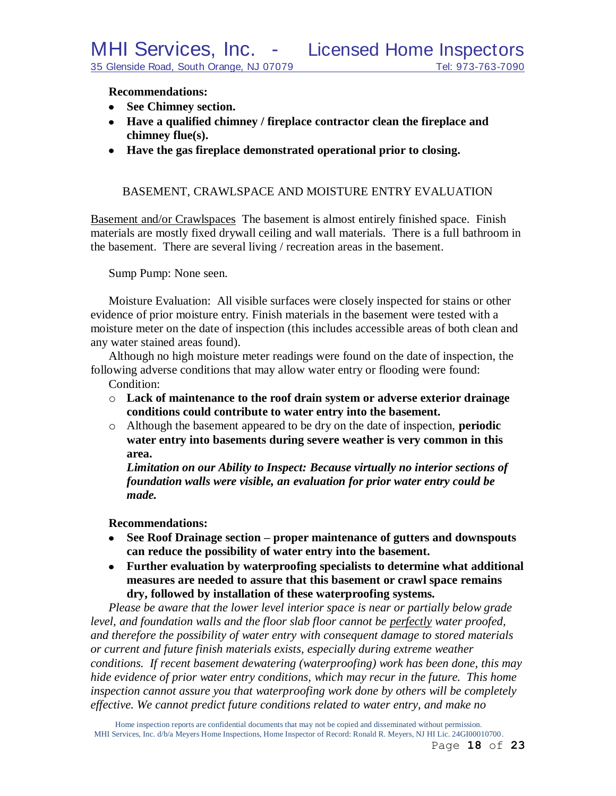# **Recommendations:**

- **See Chimney section.**
- **Have a qualified chimney / fireplace contractor clean the fireplace and chimney flue(s).**
- **Have the gas fireplace demonstrated operational prior to closing.**

# BASEMENT, CRAWLSPACE AND MOISTURE ENTRY EVALUATION

Basement and/or Crawlspaces The basement is almost entirely finished space. Finish materials are mostly fixed drywall ceiling and wall materials. There is a full bathroom in the basement. There are several living / recreation areas in the basement.

Sump Pump: None seen.

Moisture Evaluation: All visible surfaces were closely inspected for stains or other evidence of prior moisture entry. Finish materials in the basement were tested with a moisture meter on the date of inspection (this includes accessible areas of both clean and any water stained areas found).

Although no high moisture meter readings were found on the date of inspection, the following adverse conditions that may allow water entry or flooding were found:

Condition:

- o **Lack of maintenance to the roof drain system or adverse exterior drainage conditions could contribute to water entry into the basement.**
- o Although the basement appeared to be dry on the date of inspection, **periodic water entry into basements during severe weather is very common in this area.**

*Limitation on our Ability to Inspect: Because virtually no interior sections of foundation walls were visible, an evaluation for prior water entry could be made.*

# **Recommendations:**

- **See Roof Drainage section – proper maintenance of gutters and downspouts can reduce the possibility of water entry into the basement.**
- **Further evaluation by waterproofing specialists to determine what additional measures are needed to assure that this basement or crawl space remains dry, followed by installation of these waterproofing systems.**

*Please be aware that the lower level interior space is near or partially below grade level, and foundation walls and the floor slab floor cannot be perfectly water proofed, and therefore the possibility of water entry with consequent damage to stored materials or current and future finish materials exists, especially during extreme weather conditions. If recent basement dewatering (waterproofing) work has been done, this may hide evidence of prior water entry conditions, which may recur in the future. This home inspection cannot assure you that waterproofing work done by others will be completely effective. We cannot predict future conditions related to water entry, and make no*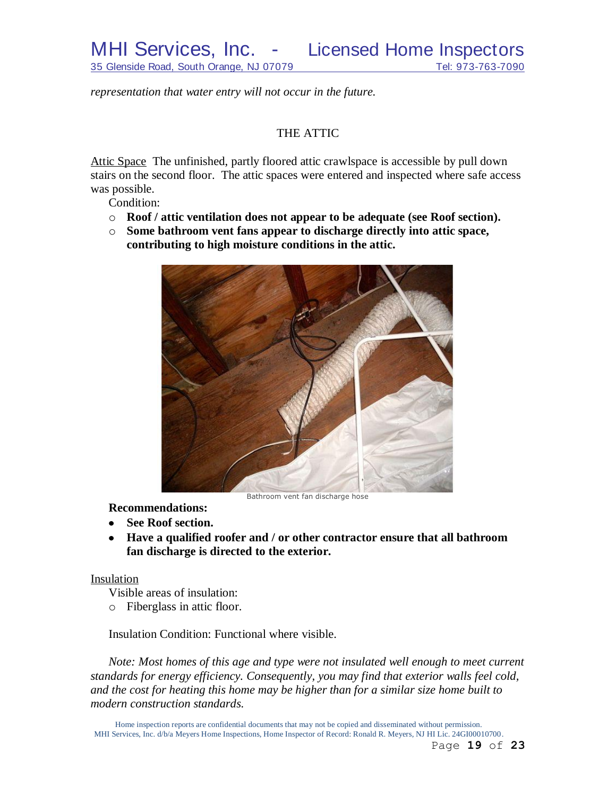*representation that water entry will not occur in the future.*

# THE ATTIC

Attic Space The unfinished, partly floored attic crawlspace is accessible by pull down stairs on the second floor. The attic spaces were entered and inspected where safe access was possible.

Condition:

- o **Roof / attic ventilation does not appear to be adequate (see Roof section).**
- o **Some bathroom vent fans appear to discharge directly into attic space, contributing to high moisture conditions in the attic.**



Bathroom vent fan discharge hose

**Recommendations:**

- **See Roof section.**
- **Have a qualified roofer and / or other contractor ensure that all bathroom fan discharge is directed to the exterior.**

# Insulation

Visible areas of insulation:

o Fiberglass in attic floor.

Insulation Condition: Functional where visible.

*Note: Most homes of this age and type were not insulated well enough to meet current standards for energy efficiency. Consequently, you may find that exterior walls feel cold, and the cost for heating this home may be higher than for a similar size home built to modern construction standards.*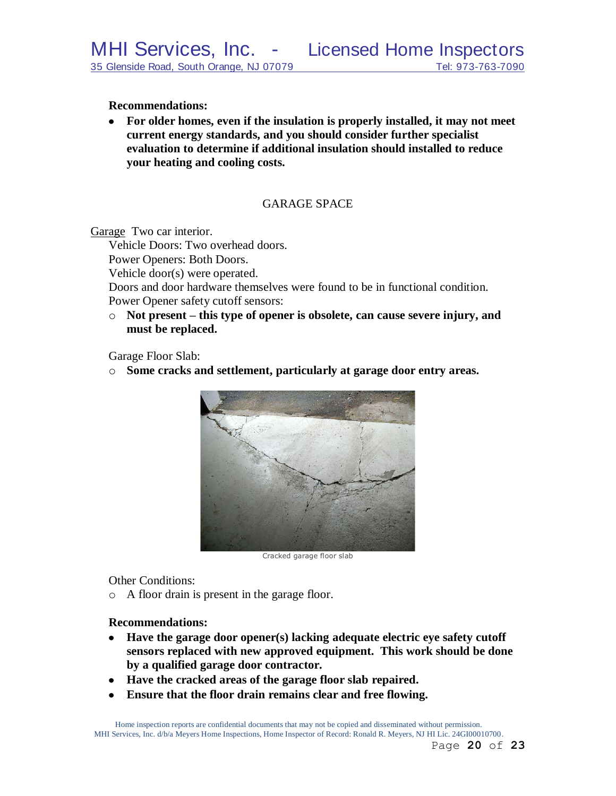## **Recommendations:**

**For older homes, even if the insulation is properly installed, it may not meet current energy standards, and you should consider further specialist evaluation to determine if additional insulation should installed to reduce your heating and cooling costs.**

# GARAGE SPACE

Garage Two car interior.

Vehicle Doors: Two overhead doors.

Power Openers: Both Doors.

Vehicle door(s) were operated.

Doors and door hardware themselves were found to be in functional condition. Power Opener safety cutoff sensors:

o **Not present – this type of opener is obsolete, can cause severe injury, and must be replaced.**

Garage Floor Slab:

o **Some cracks and settlement, particularly at garage door entry areas.**



Cracked garage floor slab

Other Conditions:

o A floor drain is present in the garage floor.

# **Recommendations:**

- **Have the garage door opener(s) lacking adequate electric eye safety cutoff sensors replaced with new approved equipment. This work should be done by a qualified garage door contractor.**
- **Have the cracked areas of the garage floor slab repaired.**
- **Ensure that the floor drain remains clear and free flowing.** $\bullet$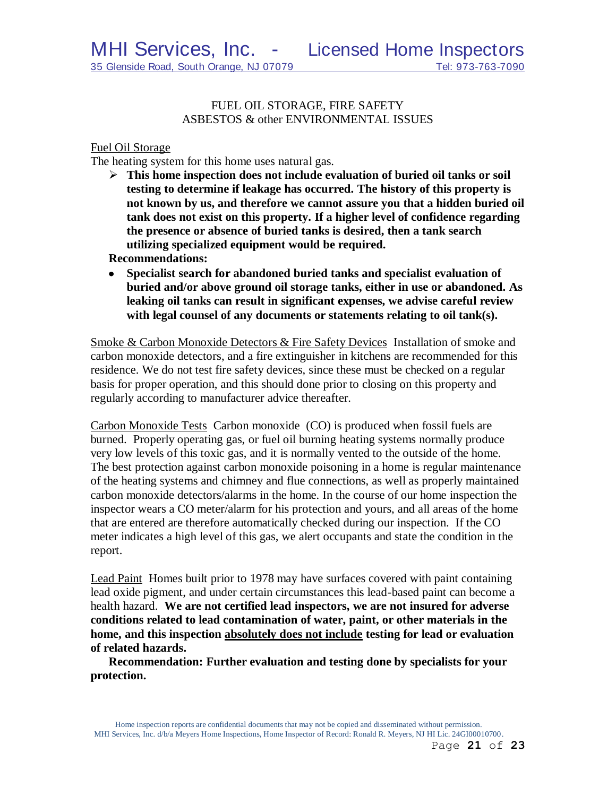# FUEL OIL STORAGE, FIRE SAFETY ASBESTOS & other ENVIRONMENTAL ISSUES

## Fuel Oil Storage

The heating system for this home uses natural gas.

 **This home inspection does not include evaluation of buried oil tanks or soil testing to determine if leakage has occurred. The history of this property is not known by us, and therefore we cannot assure you that a hidden buried oil tank does not exist on this property. If a higher level of confidence regarding the presence or absence of buried tanks is desired, then a tank search utilizing specialized equipment would be required.**

**Recommendations:**

**Specialist search for abandoned buried tanks and specialist evaluation of buried and/or above ground oil storage tanks, either in use or abandoned. As leaking oil tanks can result in significant expenses, we advise careful review with legal counsel of any documents or statements relating to oil tank(s).** 

Smoke & Carbon Monoxide Detectors & Fire Safety Devices Installation of smoke and carbon monoxide detectors, and a fire extinguisher in kitchens are recommended for this residence. We do not test fire safety devices, since these must be checked on a regular basis for proper operation, and this should done prior to closing on this property and regularly according to manufacturer advice thereafter.

Carbon Monoxide Tests Carbon monoxide (CO) is produced when fossil fuels are burned. Properly operating gas, or fuel oil burning heating systems normally produce very low levels of this toxic gas, and it is normally vented to the outside of the home. The best protection against carbon monoxide poisoning in a home is regular maintenance of the heating systems and chimney and flue connections, as well as properly maintained carbon monoxide detectors/alarms in the home. In the course of our home inspection the inspector wears a CO meter/alarm for his protection and yours, and all areas of the home that are entered are therefore automatically checked during our inspection. If the CO meter indicates a high level of this gas, we alert occupants and state the condition in the report.

Lead Paint Homes built prior to 1978 may have surfaces covered with paint containing lead oxide pigment, and under certain circumstances this lead-based paint can become a health hazard. **We are not certified lead inspectors, we are not insured for adverse conditions related to lead contamination of water, paint, or other materials in the home, and this inspection absolutely does not include testing for lead or evaluation of related hazards.** 

**Recommendation: Further evaluation and testing done by specialists for your protection.**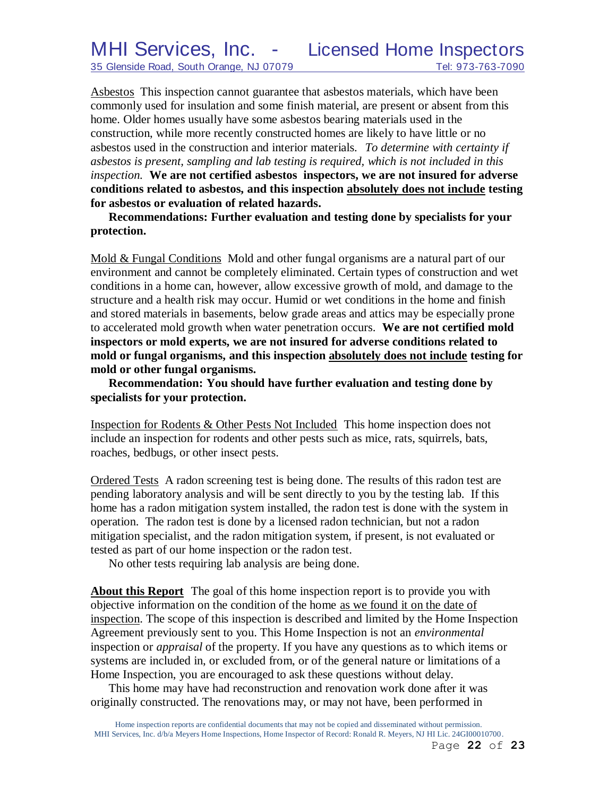Asbestos This inspection cannot guarantee that asbestos materials, which have been commonly used for insulation and some finish material, are present or absent from this home. Older homes usually have some asbestos bearing materials used in the construction, while more recently constructed homes are likely to have little or no asbestos used in the construction and interior materials. *To determine with certainty if asbestos is present, sampling and lab testing is required, which is not included in this inspection.* **We are not certified asbestos inspectors, we are not insured for adverse conditions related to asbestos, and this inspection absolutely does not include testing for asbestos or evaluation of related hazards.**

**Recommendations: Further evaluation and testing done by specialists for your protection.**

Mold & Fungal Conditions Mold and other fungal organisms are a natural part of our environment and cannot be completely eliminated. Certain types of construction and wet conditions in a home can, however, allow excessive growth of mold, and damage to the structure and a health risk may occur. Humid or wet conditions in the home and finish and stored materials in basements, below grade areas and attics may be especially prone to accelerated mold growth when water penetration occurs. **We are not certified mold inspectors or mold experts, we are not insured for adverse conditions related to mold or fungal organisms, and this inspection absolutely does not include testing for mold or other fungal organisms.**

**Recommendation: You should have further evaluation and testing done by specialists for your protection.**

Inspection for Rodents & Other Pests Not Included This home inspection does not include an inspection for rodents and other pests such as mice, rats, squirrels, bats, roaches, bedbugs, or other insect pests.

Ordered Tests A radon screening test is being done. The results of this radon test are pending laboratory analysis and will be sent directly to you by the testing lab. If this home has a radon mitigation system installed, the radon test is done with the system in operation. The radon test is done by a licensed radon technician, but not a radon mitigation specialist, and the radon mitigation system, if present, is not evaluated or tested as part of our home inspection or the radon test.

No other tests requiring lab analysis are being done.

**About this Report** The goal of this home inspection report is to provide you with objective information on the condition of the home as we found it on the date of inspection. The scope of this inspection is described and limited by the Home Inspection Agreement previously sent to you. This Home Inspection is not an *environmental* inspection or *appraisal* of the property. If you have any questions as to which items or systems are included in, or excluded from, or of the general nature or limitations of a Home Inspection, you are encouraged to ask these questions without delay.

This home may have had reconstruction and renovation work done after it was originally constructed. The renovations may, or may not have, been performed in